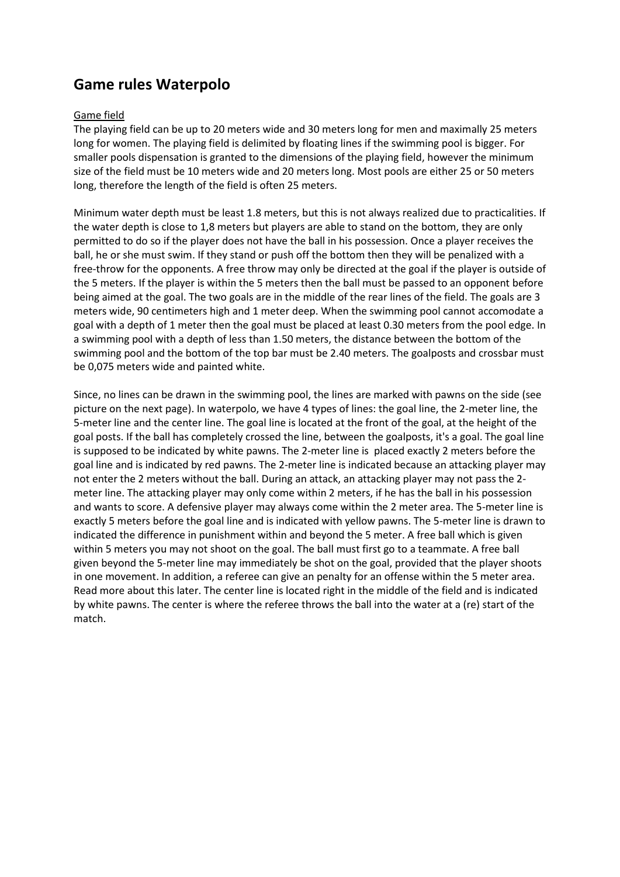# **Game rules Waterpolo**

## Game field

The playing field can be up to 20 meters wide and 30 meters long for men and maximally 25 meters long for women. The playing field is delimited by floating lines if the swimming pool is bigger. For smaller pools dispensation is granted to the dimensions of the playing field, however the minimum size of the field must be 10 meters wide and 20 meters long. Most pools are either 25 or 50 meters long, therefore the length of the field is often 25 meters.

Minimum water depth must be least 1.8 meters, but this is not always realized due to practicalities. If the water depth is close to 1,8 meters but players are able to stand on the bottom, they are only permitted to do so if the player does not have the ball in his possession. Once a player receives the ball, he or she must swim. If they stand or push off the bottom then they will be penalized with a free-throw for the opponents. A free throw may only be directed at the goal if the player is outside of the 5 meters. If the player is within the 5 meters then the ball must be passed to an opponent before being aimed at the goal. The two goals are in the middle of the rear lines of the field. The goals are 3 meters wide, 90 centimeters high and 1 meter deep. When the swimming pool cannot accomodate a goal with a depth of 1 meter then the goal must be placed at least 0.30 meters from the pool edge. In a swimming pool with a depth of less than 1.50 meters, the distance between the bottom of the swimming pool and the bottom of the top bar must be 2.40 meters. The goalposts and crossbar must be 0,075 meters wide and painted white.

Since, no lines can be drawn in the swimming pool, the lines are marked with pawns on the side (see picture on the next page). In waterpolo, we have 4 types of lines: the goal line, the 2-meter line, the 5-meter line and the center line. The goal line is located at the front of the goal, at the height of the goal posts. If the ball has completely crossed the line, between the goalposts, it's a goal. The goal line is supposed to be indicated by white pawns. The 2-meter line is placed exactly 2 meters before the goal line and is indicated by red pawns. The 2-meter line is indicated because an attacking player may not enter the 2 meters without the ball. During an attack, an attacking player may not pass the 2 meter line. The attacking player may only come within 2 meters, if he has the ball in his possession and wants to score. A defensive player may always come within the 2 meter area. The 5-meter line is exactly 5 meters before the goal line and is indicated with yellow pawns. The 5-meter line is drawn to indicated the difference in punishment within and beyond the 5 meter. A free ball which is given within 5 meters you may not shoot on the goal. The ball must first go to a teammate. A free ball given beyond the 5-meter line may immediately be shot on the goal, provided that the player shoots in one movement. In addition, a referee can give an penalty for an offense within the 5 meter area. Read more about this later. The center line is located right in the middle of the field and is indicated by white pawns. The center is where the referee throws the ball into the water at a (re) start of the match.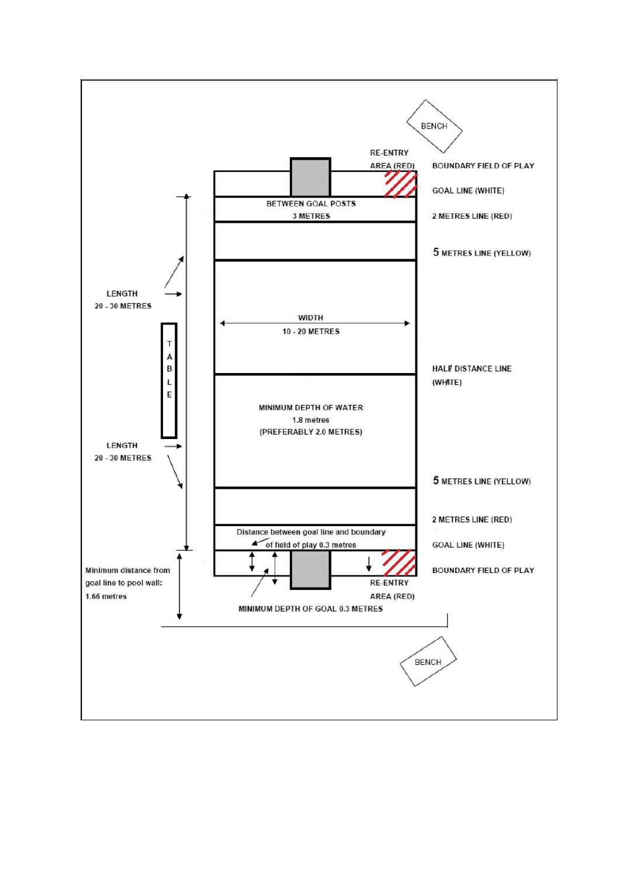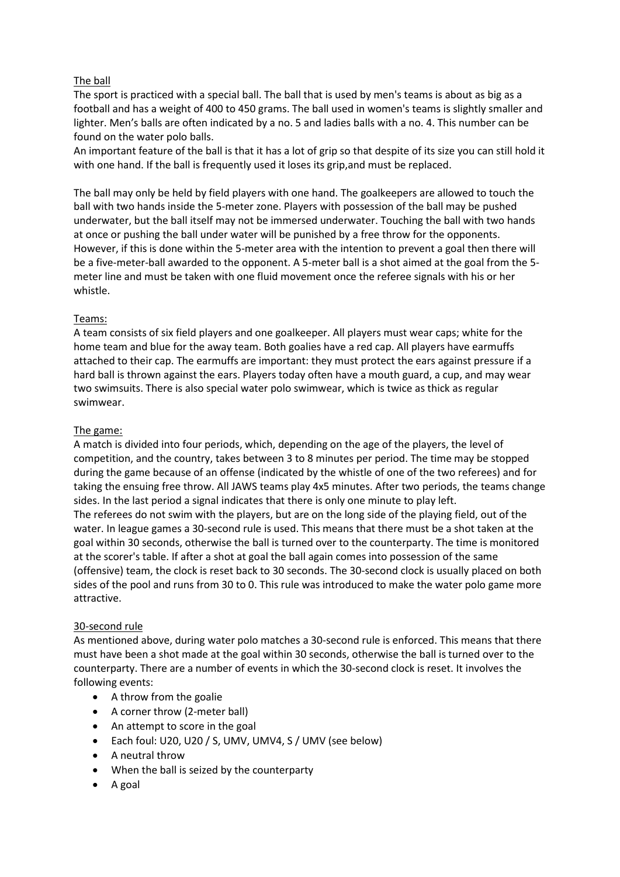# The ball

The sport is practiced with a special ball. The ball that is used by men's teams is about as big as a football and has a weight of 400 to 450 grams. The ball used in women's teams is slightly smaller and lighter. Men's balls are often indicated by a no. 5 and ladies balls with a no. 4. This number can be found on the water polo balls.

An important feature of the ball is that it has a lot of grip so that despite of its size you can still hold it with one hand. If the ball is frequently used it loses its grip,and must be replaced.

The ball may only be held by field players with one hand. The goalkeepers are allowed to touch the ball with two hands inside the 5-meter zone. Players with possession of the ball may be pushed underwater, but the ball itself may not be immersed underwater. Touching the ball with two hands at once or pushing the ball under water will be punished by a free throw for the opponents. However, if this is done within the 5-meter area with the intention to prevent a goal then there will be a five-meter-ball awarded to the opponent. A 5-meter ball is a shot aimed at the goal from the 5 meter line and must be taken with one fluid movement once the referee signals with his or her whistle.

#### Teams:

A team consists of six field players and one goalkeeper. All players must wear caps; white for the home team and blue for the away team. Both goalies have a red cap. All players have earmuffs attached to their cap. The earmuffs are important: they must protect the ears against pressure if a hard ball is thrown against the ears. Players today often have a mouth guard, a cup, and may wear two swimsuits. There is also special water polo swimwear, which is twice as thick as regular swimwear.

## The game:

A match is divided into four periods, which, depending on the age of the players, the level of competition, and the country, takes between 3 to 8 minutes per period. The time may be stopped during the game because of an offense (indicated by the whistle of one of the two referees) and for taking the ensuing free throw. All JAWS teams play 4x5 minutes. After two periods, the teams change sides. In the last period a signal indicates that there is only one minute to play left. The referees do not swim with the players, but are on the long side of the playing field, out of the water. In league games a 30-second rule is used. This means that there must be a shot taken at the goal within 30 seconds, otherwise the ball is turned over to the counterparty. The time is monitored at the scorer's table. If after a shot at goal the ball again comes into possession of the same (offensive) team, the clock is reset back to 30 seconds. The 30-second clock is usually placed on both sides of the pool and runs from 30 to 0. This rule was introduced to make the water polo game more attractive.

#### 30-second rule

As mentioned above, during water polo matches a 30-second rule is enforced. This means that there must have been a shot made at the goal within 30 seconds, otherwise the ball is turned over to the counterparty. There are a number of events in which the 30-second clock is reset. It involves the following events:

- A throw from the goalie
- A corner throw (2-meter ball)
- An attempt to score in the goal
- Each foul: U20, U20 / S, UMV, UMV4, S / UMV (see below)
- A neutral throw
- When the ball is seized by the counterparty
- $\bullet$  A goal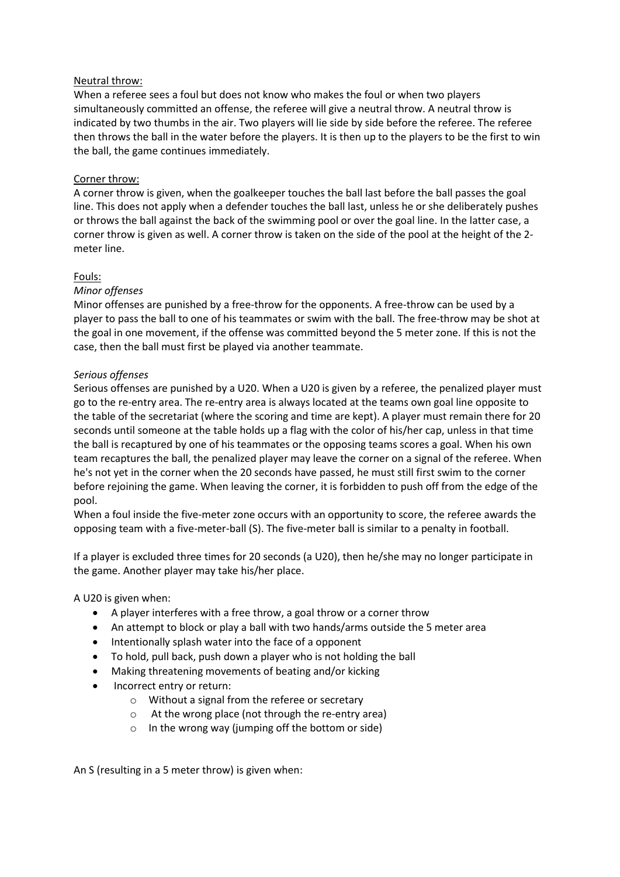#### Neutral throw:

When a referee sees a foul but does not know who makes the foul or when two players simultaneously committed an offense, the referee will give a neutral throw. A neutral throw is indicated by two thumbs in the air. Two players will lie side by side before the referee. The referee then throws the ball in the water before the players. It is then up to the players to be the first to win the ball, the game continues immediately.

## Corner throw:

A corner throw is given, when the goalkeeper touches the ball last before the ball passes the goal line. This does not apply when a defender touches the ball last, unless he or she deliberately pushes or throws the ball against the back of the swimming pool or over the goal line. In the latter case, a corner throw is given as well. A corner throw is taken on the side of the pool at the height of the 2 meter line.

## Fouls:

## *Minor offenses*

Minor offenses are punished by a free-throw for the opponents. A free-throw can be used by a player to pass the ball to one of his teammates or swim with the ball. The free-throw may be shot at the goal in one movement, if the offense was committed beyond the 5 meter zone. If this is not the case, then the ball must first be played via another teammate.

## *Serious offenses*

Serious offenses are punished by a U20. When a U20 is given by a referee, the penalized player must go to the re-entry area. The re-entry area is always located at the teams own goal line opposite to the table of the secretariat (where the scoring and time are kept). A player must remain there for 20 seconds until someone at the table holds up a flag with the color of his/her cap, unless in that time the ball is recaptured by one of his teammates or the opposing teams scores a goal. When his own team recaptures the ball, the penalized player may leave the corner on a signal of the referee. When he's not yet in the corner when the 20 seconds have passed, he must still first swim to the corner before rejoining the game. When leaving the corner, it is forbidden to push off from the edge of the pool.

When a foul inside the five-meter zone occurs with an opportunity to score, the referee awards the opposing team with a five-meter-ball (S). The five-meter ball is similar to a penalty in football.

If a player is excluded three times for 20 seconds (a U20), then he/she may no longer participate in the game. Another player may take his/her place.

#### A U20 is given when:

- A player interferes with a free throw, a goal throw or a corner throw
- An attempt to block or play a ball with two hands/arms outside the 5 meter area
- Intentionally splash water into the face of a opponent
- To hold, pull back, push down a player who is not holding the ball
- Making threatening movements of beating and/or kicking
- Incorrect entry or return:
	- o Without a signal from the referee or secretary
	- o At the wrong place (not through the re-entry area)
	- o In the wrong way (jumping off the bottom or side)

An S (resulting in a 5 meter throw) is given when: